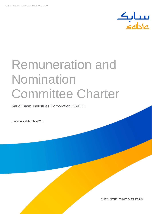

# Remuneration and **Nomination** Committee Charter

Saudi Basic Industries Corporation (SABIC)

Version.2 (March 2020)

CHEMISTRY THAT MATTERS™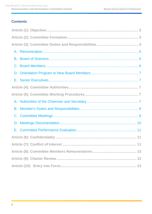## **Contents**

| D. |
|----|
|    |
|    |
|    |
|    |
|    |
|    |
|    |
|    |
|    |
|    |
|    |
|    |
|    |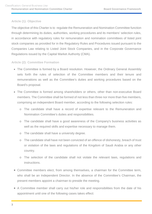## <span id="page-2-0"></span>**Article (1): Objective**

The objective of this Charter is to regulate the Remuneration and Nomination Committee function through determining its duties, authorities, working procedures and its members' selection rules, in accordance with regulatory rules for remuneration and nomination committees of listed joint stock companies as provided for in the Regulatory Rules and Procedures issued pursuant to the Companies Law relating to Listed Joint Stock Companies, and in the Corporate Governance Regulations issued by the Capital Market Authority (CMA).

## <span id="page-2-1"></span>**Article (2): Committee Formation**

- The Committee is formed by a Board resolution. However, the Ordinary General Assembly sets forth the rules of selection of the Committee members and their tenure and remunerations as well as the Committee's duties and working procedures based on the Board's proposal.
- The Committee is formed among shareholders or others, other than non-executive Board members. The Committee shall be formed of not less than three nor more than five members, comprising an independent Board member, according to the following selection rules:
	- o The candidate shall have a record of expertise relevant to the Remuneration and Nomination Committee's duties and responsibilities.
	- o The candidate shall have a good awareness of the Company's business activities as well as the required skills and expertise necessary to manage them.
	- o The candidate shall have a university degree.
	- o The candidate shall have not been convicted of an offence of dishonesty, breach of trust or violation of the laws and regulations of the Kingdom of Saudi Arabia or any other country.
	- o The selection of the candidate shall not violate the relevant laws, regulations and instructions.
- Committee members elect, from among themselves, a chairman for the Committee term, who shall be an Independent Director. In the absence of the Committee's Chairman, the present members appoint a chairman to preside the meeting.
- A Committee member shall carry out his/her role and responsibilities from the date of his appointment until one of the following cases takes effect: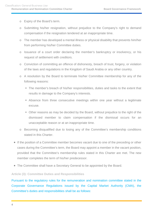- o Expiry of the Board's term.
- o Submitting his/her resignation, without prejudice to the Company's right to demand compensation if the resignation tendered at an inappropriate time.
- o The member has developed a mental illness or physical disability that prevents him/her from performing his/her Committee duties.
- o Issuance of a court order declaring the member's bankruptcy or insolvency, or his request of settlement with creditors.
- o Conviction of committing an offence of dishonesty, breach of trust, forgery, or violation of the laws and regulations in the Kingdom of Saudi Arabia or any other country.
- o A resolution by the Board to terminate his/her Committee membership for any of the following reasons:
	- The member's breach of his/her responsibilities, duties and tasks to the extent that results in damage to the Company's interests.
	- Absence from three consecutive meetings within one year without a legitimate excuse.
	- Other reasons as may be decided by the Board, without prejudice to the right of the dismissed member to claim compensation if the dismissal occurs for an unacceptable reason or at an inappropriate time.
- o Becoming disqualified due to losing any of the Committee's membership conditions stated in this Charter.
- If the position of a Committee member becomes vacant due to one of the preceding or other cases during the Committee's term, the Board may appoint a member in the vacant position, provided that the Committee's membership rules stated in this Charter are met. The new member completes the term of his/her predecessor.
- The Committee shall have a Secretary General to be appointed by the Board.

## <span id="page-3-0"></span>**Article (3): Committee Duties and Responsibilities**

Pursuant to the regulatory rules for the remuneration and nomination committee stated in the Corporate Governance Regulations issued by the Capital Market Authority (CMA), the Committee's duties and responsibilities shall be as follows: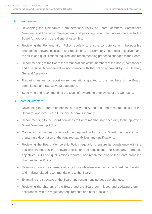## <span id="page-4-0"></span>A. Remuneration

- Developing the Company's Remunerations Policy of Board Members, Committees Members and Executive Management and providing recommendations thereon to the Board for approval by the General Assembly.
- Reviewing the Remuneration Policy regularly to ensure consistency with the possible changes in relevant legislation and regulations, the Company's strategic objectives, and the skills and qualifications required, and recommending proposed changes to the Board.
- Recommending to the Board the remunerations of the members of the Board, committees and Executive Management in accordance with the policy approved by the Ordinary General Assembly.
- Preparing an annual report on remunerations granted to the members of the Board, committees, and Executive Management.
- Specifying and recommending the types of rewards to employees of the Company.

## <span id="page-4-1"></span>B. Board of Directors

- Developing the Board Membership's Policy and Standards, and recommending it to the Board for approval by the Ordinary General Assembly.
- Recommending to the Board nominees to Board membership according to the approved Board Membership Policy.
- Conducting an annual review of the required skills for the Board membership and preparing a description of the required capabilities and qualifications.
- Reviewing the Board Membership Policy regularly to ensure its consistency with the possible changes in the relevant legislation and regulations, the Company's strategic objectives, skills and qualifications required, and recommending to the Board proposed changes to the Policy.
- Examining conflict of interest status for those who desire to run for the Board membership, and making related recommendations to the Board.
- Examining the structure of the Board and recommending possible changes.
- Reviewing the charters of the Board and the Board committees and updating them in accordance with the regulatory requirements and best practices.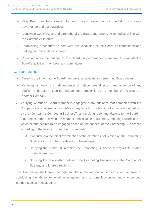- Keep Board members always informed of latest developments in the field of corporate governance and best practices.
- Identifying weaknesses and strengths of the Board and proposing remedies in line with the Company's interest.
- Establishing procedures to deal with the vacancies of the Board or committees and making recommendations thereon.
- Providing recommendations to the Board on performance measures to evaluate the Board's activities, members, and committees.

## <span id="page-5-0"></span>C. Board Members

- Defining the time that the Board member shall allocate for performing Board duties.
- Verifying, annually, the independence of independent directors and absence of any conflict of interest in case the independent director is also a member of the Board of another Company.
- Verifying whether a Board member is engaged in any business that competes with the Company's businesses, or competes in any activity or a branch of an activity carried out by the Company ("Competing Business"), and making recommendations to the Board in that respect after receiving the member's notification about the Competing Businesses in which he/she desires to be engaged based on the concept of the Competing Businesses according to the following criteria and standards:
	- A. Conducting a technical examination of the member's notification on the Competing Business in which he/she desires to be engaged;
	- B. Studying the market(s) in which the Competing Business or any of its related products are found;
	- C. Studying the relationship between the Competing Business and the Company's Strategy and future directions.

The Committee shall have the right to obtain the information it needs for the sake of conducting the abovementioned investigation, and to consult a proper party to conduct needed studies or evaluation.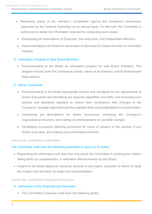- Reviewing status of the member's competition against the Company's businesses (approved by the General Assembly) on an annual basis. To that end, the Committee is authorized to obtain the information required for conducting such review.
- Developing job descriptions of Executive, Non-executive, and Independent directors.
- Recommending to the Board re-nomination or dismissal of a Board member or committee member.

## <span id="page-6-0"></span>D. Orientation Program to New Board Members

• Recommending to the Board an orientation program for new Board members. The program should cover the Company's activity, nature of its business, and its financial and legal aspects.

## <span id="page-6-1"></span>E. Senior Executives

- Recommending to the Board appropriate policies and standards for the appointment of Senior Executives and identifying the required capabilities and skills; and reviewing such policies and standards regularly to ensure their consistency with changes in the Company's strategic objectives and the required skills and qualifications to achieve them.
- Developing job descriptions for Senior Executives, reviewing the Company's organizational structure, and making recommendations on possible changes.
- Developing succession planning processes for cases of vacancy of the position of any Senior Executive, and making recommendations thereon.

## <span id="page-6-2"></span>**Article (4): Committee Authorities**

## The Committee shall have the following authorities to carry out its duties:

- Requesting the information and data that may assist the Committee in studying the matters falling within its competencies, or otherwise referred thereto by the Board.
- Subject to the Board approval, using the services of any expert, specialist or others to study the matters that fall within its duties and responsibilities.

#### <span id="page-6-3"></span>**Article (5): Committee Working Procedures**

## <span id="page-6-4"></span>A. Authorities of the Chairman and Secretary

• The Committee Chairman shall have the following duties: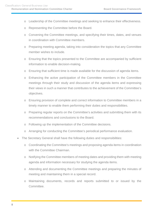- o Leadership of the Committee meetings and seeking to enhance their effectiveness.
- o Representing the Committee before the Board.
- o Convening the Committee meetings, and specifying their times, dates, and venues in coordination with Committee members.
- o Preparing meeting agenda, taking into consideration the topics that any Committee member wishes to include.
- o Ensuring that the topics presented to the Committee are accompanied by sufficient information to enable decision-making.
- o Ensuring that sufficient time is made available for the discussion of agenda items.
- o Enhancing the active participation of the Committee members in the Committee meetings through their study and discussion of the agenda items and expressing their views in such a manner that contributes to the achievement of the Committee's objectives.
- o Ensuring provision of complete and correct information to Committee members in a timely manner to enable them performing their duties and responsibilities.
- o Preparing regular reports on the Committee's activities and submitting them with its recommendations and conclusions to the Board.
- o Following up the implementation of the Committee decisions.
- o Arranging for conducting the Committee's periodical performance evaluation.
- The Secretary General shall have the following duties and responsibilities:
	- o Coordinating the Committee's meetings and proposing agenda items in coordination with the Committee Chairman.
	- o Notifying the Committee members of meeting dates and providing them with meeting agenda and information necessary for studying the agenda items.
	- o Attending and documenting the Committee meetings and preparing the minutes of meeting and maintaining them in a special record.
	- o Maintaining documents, records and reports submitted to or issued by the Committee.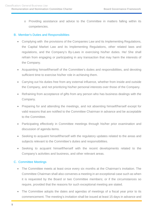o Providing assistance and advice to the Committee in matters falling within its competencies.

## <span id="page-8-0"></span>B. Member's Duties and Responsibilities

- Complying with the provisions of the Companies Law and its Implementing Regulations, the Capital Market Law and its Implementing Regulations, other related laws and regulations, and the Company's By-Laws in exercising his/her duties. He/ She shall refrain from engaging or participating in any transaction that may harm the interests of the Company.
- Acquainting himself/herself of the Committee's duties and responsibilities, and devoting sufficient time to exercise his/her role in achieving them.
- Carrying out his duties free from any external influence, whether from inside and outside the Company, and not prioritizing his/her personal interests over those of the Company.
- Refraining from acceptance of gifts from any person who has business dealings with the Company.
- Preparing for and attending the meetings, and not absenting himself/herself except for valid reasons that are notified to the Committee Chairman in advance and be acceptable to the Committee.
- Participating effectively in Committee meetings through his/her prior examination and discussion of agenda items.
- Seeking to acquaint himself/herself with the regulatory updates related to the areas and subjects relevant to the Committee's duties and responsibilities.
- Seeking to acquaint himself/herself with the recent developments related to the Company's activities and business, and other relevant areas.

## <span id="page-8-1"></span>C. Committee Meetings

- The Committee meets at least once every six months at the Chairman's invitation. The Committee Chairman shall also convenes a meeting in an exceptional case such as when it is requested by the Board or two Committee members; or if the circumstances so require, provided that the reasons for such exceptional meeting are stated.
- The Committee adopts the dates and agendas of meetings of a fiscal year prior to its commencement. The meeting's invitation shall be issued at least 15 days in advance and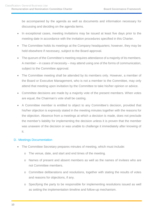be accompanied by the agenda as well as documents and information necessary for discussing and deciding on the agenda items.

- In exceptional cases, meeting invitations may be issued at least five days prior to the meeting date in accordance with the invitation procedures specified in this Charter.
- The Committee holds its meetings at the Company headquarters; however, they may be held elsewhere if necessary, subject to the Board approval.
- The quorum of the Committee's meeting requires attendance of a majority of its members. A member – in cases of necessity – may attend using one of the forms of communication, subject to the Committee approval.
- The Committee meeting shall be attended by its members only. However, a member of the Board or Executive Management, who is not a member to the Committee, may only attend that meeting upon invitation by the Committee to take his/her opinion or advice.
- Committee decisions are made by a majority vote of the present members. When votes are equal, the Chairman's vote shall be casting.
- A Committee member is entitled to object to any Committee's decision, provided that his/her objection is expressly stated in the meeting minutes together with the reasons for the objection. Absence from a meetings at which a decision is made, does not preclude the member's liability for implementing the decision unless it is proven that the member was unaware of the decision or was unable to challenge it immediately after knowing of it.

## <span id="page-9-0"></span>D. Meetings Documentation

- The Committee Secretary prepares minutes of meeting, which must include:
	- o The venue, date, and start and end times of the meeting.
	- o Names of present and absent members as well as the names of invitees who are not Committee members.
	- o Committee deliberations and resolutions, together with stating the results of votes and reasons for objections, if any.
	- o Specifying the party to be responsible for implementing resolutions issued as well as setting the implementation timeline and follow-up mechanism.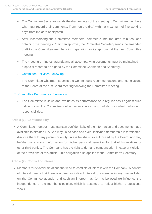- The Committee Secretary sends the draft minutes of the meeting to Committee members who must record their comments, if any, on the draft within a maximum of five working days from the date of dispatch.
- After incorporating the Committee members' comments into the draft minutes, and obtaining the meeting's Chairman approval, the Committee Secretary sends the amended draft to the Committee members in preparation for its approval at the next Committee meeting.
- The meeting's minutes, agenda and all accompanying documents must be maintained in a special record to be signed by the Committee Chairman and Secretary.

## • Committee Activities Follow-up

The Committee Chairman submits the Committee's recommendations and conclusions to the Board at the first Board meeting following the Committee meeting.

## <span id="page-10-0"></span>E. Committee Performance Evaluation

• The Committee reviews and evaluates its performance on a regular basis against such indicators as the Committee's effectiveness in carrying out its prescribed duties and responsibilities.

## <span id="page-10-1"></span>**Article (6): Confidentiality**

• A Committee member must maintain confidentiality of the information and documents made available to him/her. He/ She may, in no case and even if his/her membership is terminated, disclose them to any person or entity unless he/she is so authorized by the Board, nor may he/she use any such information for his/her personal benefit or for that of his relatives or other third parties. The Company has the right to demand compensation in case of violation of the provisions of this article. This obligation also applies to the Committee's Secretary.

## <span id="page-10-2"></span>**Article (7): Conflict of Interest**

• Members must avoid situations that lead to conflicts of interest with the Company. A conflict of interest means that there is a direct or indirect interest to a member in any matter listed on the Committee agenda; and such an interest may (or is believed to) influence the independence of the member's opinion, which is assumed to reflect his/her professional views.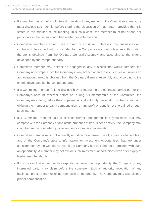- If a member has a conflict of interest in relation to any matter on the Committee agenda, he must disclose such conflict before starting the discussion of that matter, provided that it is stated in the minutes of the meeting. In such a case, the member must not attend nor participate in the discussion of that matter nor vote thereon.
- Committee member may not have a direct or an indirect interest in the businesses and contracts to be carried out or concluded for the Company's account unless an authorization thereto is obtained from the Ordinary General Assembly and according to the criteria developed by the competent party.
- Committee member may neither be engaged in any business that would compete the Company nor compete with the Company in any branch of an activity it carries out unless an authorization thereto is obtained from the Ordinary General Assembly and according to the criteria developed by the competent party.
- If a Committee member fails to disclose his/her interest in the contracts carried out for the Company's account, whether before or during his membership of the Committee, the Company may claim, before the competent judicial authority, revocation of the contract and obliging the member to pay a compensation or any profit or benefit he/ she gained through such interest.
- If a Committee member fails to disclose his/her engagement in any business that may compete with the Company or one of the branches of its business activity, the Company may claim before the competent judicial authority a proper compensation.
- Committee member must not directly or indirectly makes use of, exploit, or benefit from any of the Company's assets, information, or investment opportunities that are under consideration by the Company, even if the Company has decided not to proceed with such an opportunity. A member may not exploit such investment opportunities even after expiry of his/her membership term.
- If it is proven that a member has exploited an investment opportunity, the Company or any interested party, may claim before the competent judicial authority revocation of any business, profit, or gain resulting from such an opportunity. The Company may also claim a proper compensation.